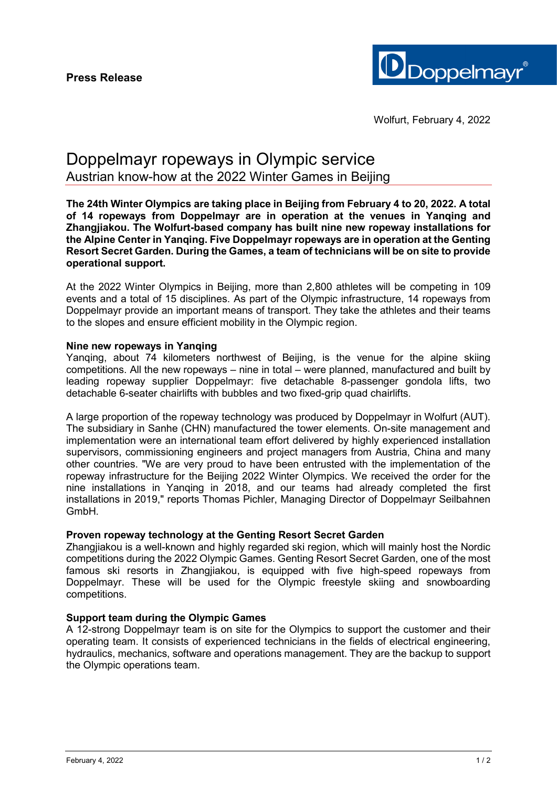

# Doppelmayr ropeways in Olympic service Austrian know-how at the 2022 Winter Games in Beijing

**The 24th Winter Olympics are taking place in Beijing from February 4 to 20, 2022. A total of 14 ropeways from Doppelmayr are in operation at the venues in Yanqing and Zhangjiakou. The Wolfurt-based company has built nine new ropeway installations for the Alpine Center in Yanqing. Five Doppelmayr ropeways are in operation at the Genting Resort Secret Garden. During the Games, a team of technicians will be on site to provide operational support.** 

At the 2022 Winter Olympics in Beijing, more than 2,800 athletes will be competing in 109 events and a total of 15 disciplines. As part of the Olympic infrastructure, 14 ropeways from Doppelmayr provide an important means of transport. They take the athletes and their teams to the slopes and ensure efficient mobility in the Olympic region.

## **Nine new ropeways in Yanqing**

Yanqing, about 74 kilometers northwest of Beijing, is the venue for the alpine skiing competitions. All the new ropeways – nine in total – were planned, manufactured and built by leading ropeway supplier Doppelmayr: five detachable 8-passenger gondola lifts, two detachable 6-seater chairlifts with bubbles and two fixed-grip quad chairlifts.

A large proportion of the ropeway technology was produced by Doppelmayr in Wolfurt (AUT). The subsidiary in Sanhe (CHN) manufactured the tower elements. On-site management and implementation were an international team effort delivered by highly experienced installation supervisors, commissioning engineers and project managers from Austria, China and many other countries. "We are very proud to have been entrusted with the implementation of the ropeway infrastructure for the Beijing 2022 Winter Olympics. We received the order for the nine installations in Yanqing in 2018, and our teams had already completed the first installations in 2019," reports Thomas Pichler, Managing Director of Doppelmayr Seilbahnen GmbH.

#### **Proven ropeway technology at the Genting Resort Secret Garden**

Zhangjiakou is a well-known and highly regarded ski region, which will mainly host the Nordic competitions during the 2022 Olympic Games. Genting Resort Secret Garden, one of the most famous ski resorts in Zhangjiakou, is equipped with five high-speed ropeways from Doppelmayr. These will be used for the Olympic freestyle skiing and snowboarding competitions.

# **Support team during the Olympic Games**

A 12-strong Doppelmayr team is on site for the Olympics to support the customer and their operating team. It consists of experienced technicians in the fields of electrical engineering, hydraulics, mechanics, software and operations management. They are the backup to support the Olympic operations team.